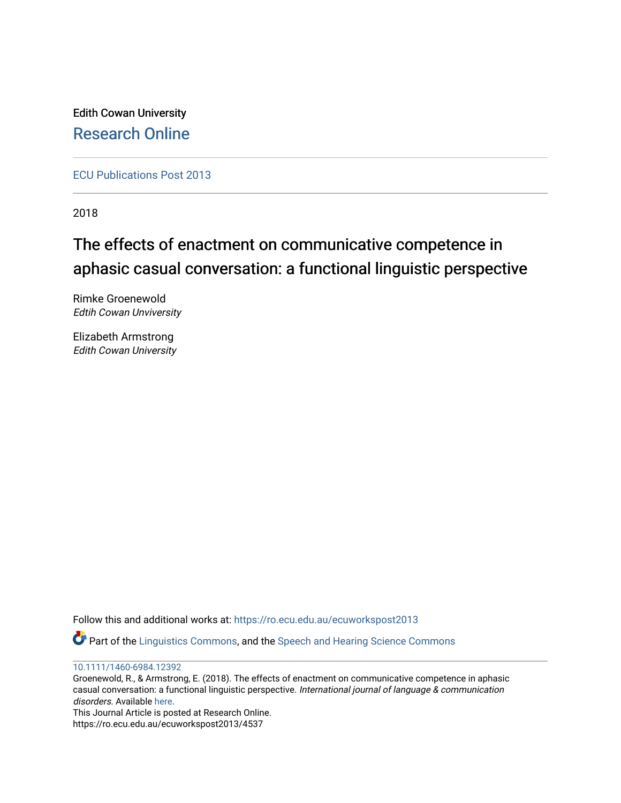Edith Cowan University [Research Online](https://ro.ecu.edu.au/) 

[ECU Publications Post 2013](https://ro.ecu.edu.au/ecuworkspost2013)

2018

# The effects of enactment on communicative competence in aphasic casual conversation: a functional linguistic perspective

Rimke Groenewold Edtih Cowan Unviversity

Elizabeth Armstrong Edith Cowan University

Follow this and additional works at: [https://ro.ecu.edu.au/ecuworkspost2013](https://ro.ecu.edu.au/ecuworkspost2013?utm_source=ro.ecu.edu.au%2Fecuworkspost2013%2F4537&utm_medium=PDF&utm_campaign=PDFCoverPages) 

Part of the [Linguistics Commons,](http://network.bepress.com/hgg/discipline/371?utm_source=ro.ecu.edu.au%2Fecuworkspost2013%2F4537&utm_medium=PDF&utm_campaign=PDFCoverPages) and the [Speech and Hearing Science Commons](http://network.bepress.com/hgg/discipline/1033?utm_source=ro.ecu.edu.au%2Fecuworkspost2013%2F4537&utm_medium=PDF&utm_campaign=PDFCoverPages)

[10.1111/1460-6984.12392](http://dx.doi.org/10.1111/1460-6984.12392) 

Groenewold, R., & Armstrong, E. (2018). The effects of enactment on communicative competence in aphasic casual conversation: a functional linguistic perspective. International journal of language & communication disorders. Available [here.](https://doi.org/10.1111/1460-6984.12392)

This Journal Article is posted at Research Online. https://ro.ecu.edu.au/ecuworkspost2013/4537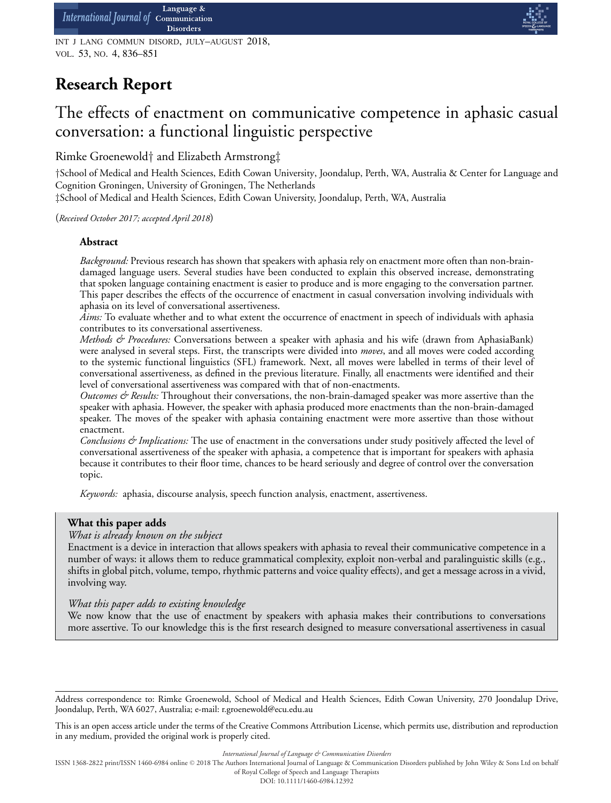INT J LANG COMMUN DISORD, JULY–AUGUST 2018, VOL. 53, NO. 4, 836–851

## **Research Report**

## The effects of enactment on communicative competence in aphasic casual conversation: a functional linguistic perspective

Rimke Groenewold*†* and Elizabeth Armstrong*‡*

*†*School of Medical and Health Sciences, Edith Cowan University, Joondalup, Perth, WA, Australia & Center for Language and Cognition Groningen, University of Groningen, The Netherlands

*‡*School of Medical and Health Sciences, Edith Cowan University, Joondalup, Perth, WA, Australia

(*Received October 2017; accepted April 2018*)

## **Abstract**

*Background:* Previous research has shown that speakers with aphasia rely on enactment more often than non-braindamaged language users. Several studies have been conducted to explain this observed increase, demonstrating that spoken language containing enactment is easier to produce and is more engaging to the conversation partner. This paper describes the effects of the occurrence of enactment in casual conversation involving individuals with aphasia on its level of conversational assertiveness.

*Aims:* To evaluate whether and to what extent the occurrence of enactment in speech of individuals with aphasia contributes to its conversational assertiveness.

*Methods & Procedures:* Conversations between a speaker with aphasia and his wife (drawn from AphasiaBank) were analysed in several steps. First, the transcripts were divided into *moves*, and all moves were coded according to the systemic functional linguistics (SFL) framework. Next, all moves were labelled in terms of their level of conversational assertiveness, as defined in the previous literature. Finally, all enactments were identified and their level of conversational assertiveness was compared with that of non-enactments.

*Outcomes & Results:* Throughout their conversations, the non-brain-damaged speaker was more assertive than the speaker with aphasia. However, the speaker with aphasia produced more enactments than the non-brain-damaged speaker. The moves of the speaker with aphasia containing enactment were more assertive than those without enactment.

*Conclusions & Implications:* The use of enactment in the conversations under study positively affected the level of conversational assertiveness of the speaker with aphasia, a competence that is important for speakers with aphasia because it contributes to their floor time, chances to be heard seriously and degree of control over the conversation topic.

*Keywords:* aphasia, discourse analysis, speech function analysis, enactment, assertiveness.

## **What this paper adds**

*What is already known on the subject*

Enactment is a device in interaction that allows speakers with aphasia to reveal their communicative competence in a number of ways: it allows them to reduce grammatical complexity, exploit non-verbal and paralinguistic skills (e.g., shifts in global pitch, volume, tempo, rhythmic patterns and voice quality effects), and get a message across in a vivid, involving way.

## *What this paper adds to existing knowledge*

We now know that the use of enactment by speakers with aphasia makes their contributions to conversations more assertive. To our knowledge this is the first research designed to measure conversational assertiveness in casual

Address correspondence to: Rimke Groenewold, School of Medical and Health Sciences, Edith Cowan University, 270 Joondalup Drive, Joondalup, Perth, WA 6027, Australia; e-mail: r.groenewold@ecu.edu.au

This is an open access article under the terms of the [Creative Commons Attribution](http://creativecommons.org/licenses/by/4.0/) License, which permits use, distribution and reproduction in any medium, provided the original work is properly cited.

*International Journal of Language & Communication Disorders*

ISSN 1368-2822 print/ISSN 1460-6984 online © 2018 The Authors International Journal of Language & Communication Disorders published by John Wiley & Sons Ltd on behalf of Royal College of Speech and Language Therapists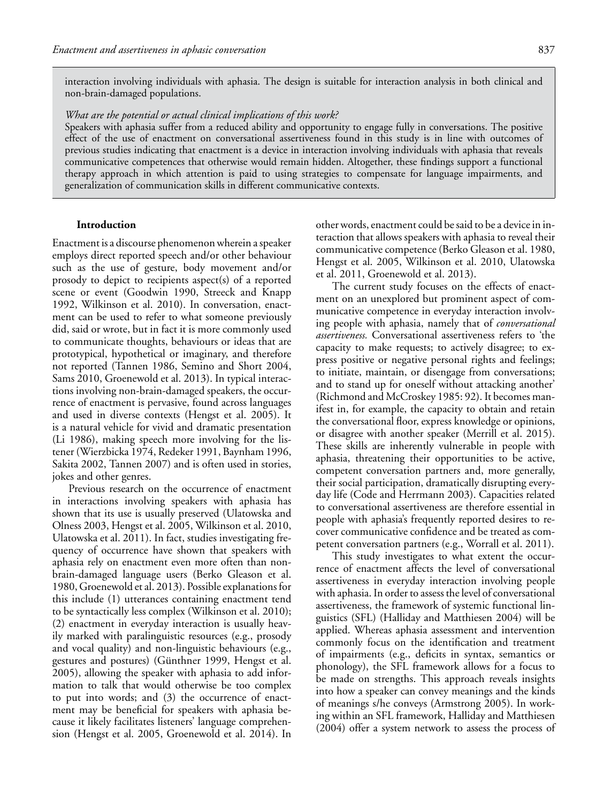interaction involving individuals with aphasia. The design is suitable for interaction analysis in both clinical and non-brain-damaged populations.

*What are the potential or actual clinical implications of this work?*

Speakers with aphasia suffer from a reduced ability and opportunity to engage fully in conversations. The positive effect of the use of enactment on conversational assertiveness found in this study is in line with outcomes of previous studies indicating that enactment is a device in interaction involving individuals with aphasia that reveals communicative competences that otherwise would remain hidden. Altogether, these findings support a functional therapy approach in which attention is paid to using strategies to compensate for language impairments, and generalization of communication skills in different communicative contexts.

## **Introduction**

Enactment is a discourse phenomenon wherein a speaker employs direct reported speech and/or other behaviour such as the use of gesture, body movement and/or prosody to depict to recipients aspect(s) of a reported scene or event (Goodwin 1990, Streeck and Knapp 1992, Wilkinson et al. 2010). In conversation, enactment can be used to refer to what someone previously did, said or wrote, but in fact it is more commonly used to communicate thoughts, behaviours or ideas that are prototypical, hypothetical or imaginary, and therefore not reported (Tannen 1986, Semino and Short 2004, Sams 2010, Groenewold et al. 2013). In typical interactions involving non-brain-damaged speakers, the occurrence of enactment is pervasive, found across languages and used in diverse contexts (Hengst et al. 2005). It is a natural vehicle for vivid and dramatic presentation (Li 1986), making speech more involving for the listener (Wierzbicka 1974, Redeker 1991, Baynham 1996, Sakita 2002, Tannen 2007) and is often used in stories, jokes and other genres.

Previous research on the occurrence of enactment in interactions involving speakers with aphasia has shown that its use is usually preserved (Ulatowska and Olness 2003, Hengst et al. 2005, Wilkinson et al. 2010, Ulatowska et al. 2011). In fact, studies investigating frequency of occurrence have shown that speakers with aphasia rely on enactment even more often than nonbrain-damaged language users (Berko Gleason et al. 1980, Groenewold et al. 2013). Possible explanations for this include (1) utterances containing enactment tend to be syntactically less complex (Wilkinson et al. 2010); (2) enactment in everyday interaction is usually heavily marked with paralinguistic resources (e.g., prosody and vocal quality) and non-linguistic behaviours (e.g., gestures and postures) (Günthner 1999, Hengst et al. 2005), allowing the speaker with aphasia to add information to talk that would otherwise be too complex to put into words; and (3) the occurrence of enactment may be beneficial for speakers with aphasia because it likely facilitates listeners' language comprehension (Hengst et al. 2005, Groenewold et al. 2014). In other words, enactment could be said to be a device in interaction that allows speakers with aphasia to reveal their communicative competence (Berko Gleason et al. 1980, Hengst et al. 2005, Wilkinson et al. 2010, Ulatowska et al. 2011, Groenewold et al. 2013).

The current study focuses on the effects of enactment on an unexplored but prominent aspect of communicative competence in everyday interaction involving people with aphasia, namely that of *conversational assertiveness.* Conversational assertiveness refers to 'the capacity to make requests; to actively disagree; to express positive or negative personal rights and feelings; to initiate, maintain, or disengage from conversations; and to stand up for oneself without attacking another' (Richmond and McCroskey 1985: 92). It becomes manifest in, for example, the capacity to obtain and retain the conversational floor, express knowledge or opinions, or disagree with another speaker (Merrill et al. 2015). These skills are inherently vulnerable in people with aphasia, threatening their opportunities to be active, competent conversation partners and, more generally, their social participation, dramatically disrupting everyday life (Code and Herrmann 2003). Capacities related to conversational assertiveness are therefore essential in people with aphasia's frequently reported desires to recover communicative confidence and be treated as competent conversation partners (e.g., Worrall et al. 2011).

This study investigates to what extent the occurrence of enactment affects the level of conversational assertiveness in everyday interaction involving people with aphasia. In order to assess the level of conversational assertiveness, the framework of systemic functional linguistics (SFL) (Halliday and Matthiesen 2004) will be applied. Whereas aphasia assessment and intervention commonly focus on the identification and treatment of impairments (e.g., deficits in syntax, semantics or phonology), the SFL framework allows for a focus to be made on strengths. This approach reveals insights into how a speaker can convey meanings and the kinds of meanings s/he conveys (Armstrong 2005). In working within an SFL framework, Halliday and Matthiesen (2004) offer a system network to assess the process of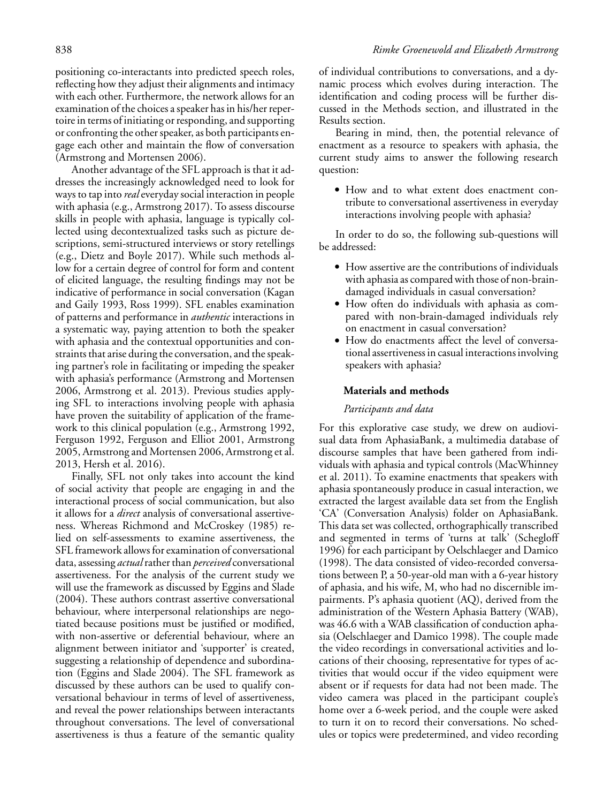positioning co-interactants into predicted speech roles, reflecting how they adjust their alignments and intimacy with each other. Furthermore, the network allows for an examination of the choices a speaker has in his/her repertoire in terms of initiating or responding, and supporting or confronting the other speaker, as both participants engage each other and maintain the flow of conversation (Armstrong and Mortensen 2006).

Another advantage of the SFL approach is that it addresses the increasingly acknowledged need to look for ways to tap into *real*everyday social interaction in people with aphasia (e.g., Armstrong 2017). To assess discourse skills in people with aphasia, language is typically collected using decontextualized tasks such as picture descriptions, semi-structured interviews or story retellings (e.g., Dietz and Boyle 2017). While such methods allow for a certain degree of control for form and content of elicited language, the resulting findings may not be indicative of performance in social conversation (Kagan and Gaily 1993, Ross 1999). SFL enables examination of patterns and performance in *authentic* interactions in a systematic way, paying attention to both the speaker with aphasia and the contextual opportunities and constraints that arise during the conversation, and the speaking partner's role in facilitating or impeding the speaker with aphasia's performance (Armstrong and Mortensen 2006, Armstrong et al. 2013). Previous studies applying SFL to interactions involving people with aphasia have proven the suitability of application of the framework to this clinical population (e.g., Armstrong 1992, Ferguson 1992, Ferguson and Elliot 2001, Armstrong 2005, Armstrong and Mortensen 2006, Armstrong et al. 2013, Hersh et al. 2016).

Finally, SFL not only takes into account the kind of social activity that people are engaging in and the interactional process of social communication, but also it allows for a *direct* analysis of conversational assertiveness. Whereas Richmond and McCroskey (1985) relied on self-assessments to examine assertiveness, the SFL framework allows for examination of conversational data, assessing *actual*rather than *perceived* conversational assertiveness. For the analysis of the current study we will use the framework as discussed by Eggins and Slade (2004). These authors contrast assertive conversational behaviour, where interpersonal relationships are negotiated because positions must be justified or modified, with non-assertive or deferential behaviour, where an alignment between initiator and 'supporter' is created, suggesting a relationship of dependence and subordination (Eggins and Slade 2004). The SFL framework as discussed by these authors can be used to qualify conversational behaviour in terms of level of assertiveness, and reveal the power relationships between interactants throughout conversations. The level of conversational assertiveness is thus a feature of the semantic quality of individual contributions to conversations, and a dynamic process which evolves during interaction. The identification and coding process will be further discussed in the Methods section, and illustrated in the Results section.

Bearing in mind, then, the potential relevance of enactment as a resource to speakers with aphasia, the current study aims to answer the following research question:

- How and to what extent does enactment contribute to conversational assertiveness in everyday interactions involving people with aphasia?

In order to do so, the following sub-questions will be addressed:

- How assertive are the contributions of individuals with aphasia as compared with those of non-braindamaged individuals in casual conversation?
- How often do individuals with aphasia as compared with non-brain-damaged individuals rely on enactment in casual conversation?
- How do enactments affect the level of conversational assertiveness in casual interactions involving speakers with aphasia?

## **Materials and methods**

#### *Participants and data*

For this explorative case study, we drew on audiovisual data from AphasiaBank, a multimedia database of discourse samples that have been gathered from individuals with aphasia and typical controls (MacWhinney et al. 2011). To examine enactments that speakers with aphasia spontaneously produce in casual interaction, we extracted the largest available data set from the English 'CA' (Conversation Analysis) folder on AphasiaBank. This data set was collected, orthographically transcribed and segmented in terms of 'turns at talk' (Schegloff 1996) for each participant by Oelschlaeger and Damico (1998). The data consisted of video-recorded conversations between P, a 50-year-old man with a 6-year history of aphasia, and his wife, M, who had no discernible impairments. P's aphasia quotient (AQ), derived from the administration of the Western Aphasia Battery (WAB), was 46.6 with a WAB classification of conduction aphasia (Oelschlaeger and Damico 1998). The couple made the video recordings in conversational activities and locations of their choosing, representative for types of activities that would occur if the video equipment were absent or if requests for data had not been made. The video camera was placed in the participant couple's home over a 6-week period, and the couple were asked to turn it on to record their conversations. No schedules or topics were predetermined, and video recording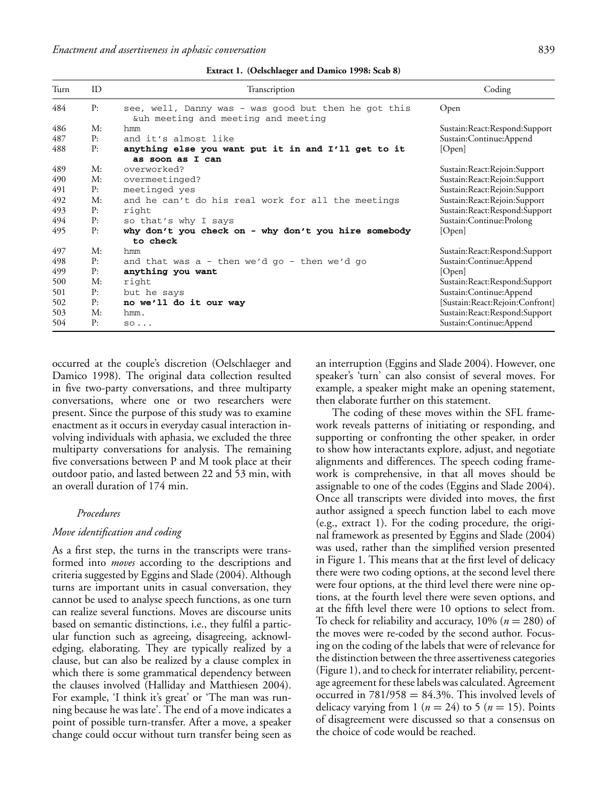**Extract 1. (Oelschlaeger and Damico 1998: Scab 8)**

| Turn | ID | Transcription                                                                               | Coding                          |
|------|----|---------------------------------------------------------------------------------------------|---------------------------------|
| 484  | P: | see, well, Danny was - was good but then he got this<br>&uh meeting and meeting and meeting | Open                            |
| 486  | M: | hmm                                                                                         | Sustain:React:Respond:Support   |
| 487  | P: | and it's almost like                                                                        | Sustain:Continue:Append         |
| 488  | P: | anything else you want put it in and I'll get to it                                         | [Open]                          |
|      |    | as soon as I can                                                                            |                                 |
| 489  | M: | overworked?                                                                                 | Sustain: React: Rejoin: Support |
| 490  | M: | overmeetinged?                                                                              | Sustain: React: Rejoin: Support |
| 491  | P: | meetinged yes                                                                               | Sustain: React: Rejoin: Support |
| 492  | M: | and he can't do his real work for all the meetings                                          | Sustain: React: Rejoin: Support |
| 493  | P: | right                                                                                       | Sustain:React:Respond:Support   |
| 494  | P: | so that's why I says                                                                        | Sustain:Continue:Prolong        |
| 495  | P: | why don't you check on - why don't you hire somebody                                        | [Open]                          |
|      |    | to check                                                                                    |                                 |
| 497  | M: | hmm                                                                                         | Sustain:React:Respond:Support   |
| 498  | P: | and that was $a - th$ en we'd go - then we'd go                                             | Sustain:Continue:Append         |
| 499  | P: | anything you want                                                                           | [Open]                          |
| 500  | M: | right                                                                                       | Sustain:React:Respond:Support   |
| 501  | P: | but he says                                                                                 | Sustain:Continue:Append         |
| 502  | P: | no we'll do it our way                                                                      | [Sustain:React:Rejoin:Confront] |
| 503  | M: | hmm.                                                                                        | Sustain:React:Respond:Support   |
| 504  | P: | $SO.$                                                                                       | Sustain: Continue: Append       |

occurred at the couple's discretion (Oelschlaeger and Damico 1998). The original data collection resulted in five two-party conversations, and three multiparty conversations, where one or two researchers were present. Since the purpose of this study was to examine enactment as it occurs in everyday casual interaction involving individuals with aphasia, we excluded the three multiparty conversations for analysis. The remaining five conversations between P and M took place at their outdoor patio, and lasted between 22 and 53 min, with an overall duration of 174 min.

## *Procedures*

## *Move identification and coding*

As a first step, the turns in the transcripts were transformed into *moves* according to the descriptions and criteria suggested by Eggins and Slade (2004). Although turns are important units in casual conversation, they cannot be used to analyse speech functions, as one turn can realize several functions. Moves are discourse units based on semantic distinctions, i.e., they fulfil a particular function such as agreeing, disagreeing, acknowledging, elaborating. They are typically realized by a clause, but can also be realized by a clause complex in which there is some grammatical dependency between the clauses involved (Halliday and Matthiesen 2004). For example, 'I think it's great' or 'The man was running because he was late'. The end of a move indicates a point of possible turn-transfer. After a move, a speaker change could occur without turn transfer being seen as an interruption (Eggins and Slade 2004). However, one speaker's 'turn' can also consist of several moves. For example, a speaker might make an opening statement, then elaborate further on this statement.

The coding of these moves within the SFL framework reveals patterns of initiating or responding, and supporting or confronting the other speaker, in order to show how interactants explore, adjust, and negotiate alignments and differences. The speech coding framework is comprehensive, in that all moves should be assignable to one of the codes (Eggins and Slade 2004). Once all transcripts were divided into moves, the first author assigned a speech function label to each move (e.g., extract 1). For the coding procedure, the original framework as presented by Eggins and Slade (2004) was used, rather than the simplified version presented in Figure 1. This means that at the first level of delicacy there were two coding options, at the second level there were four options, at the third level there were nine options, at the fourth level there were seven options, and at the fifth level there were 10 options to select from. To check for reliability and accuracy, 10% (*n* = 280) of the moves were re-coded by the second author. Focusing on the coding of the labels that were of relevance for the distinction between the three assertiveness categories (Figure 1), and to check for interrater reliability, percentage agreement for these labels was calculated. Agreement occurred in  $781/958 = 84.3\%$ . This involved levels of delicacy varying from 1 ( $n = 24$ ) to 5 ( $n = 15$ ). Points of disagreement were discussed so that a consensus on the choice of code would be reached.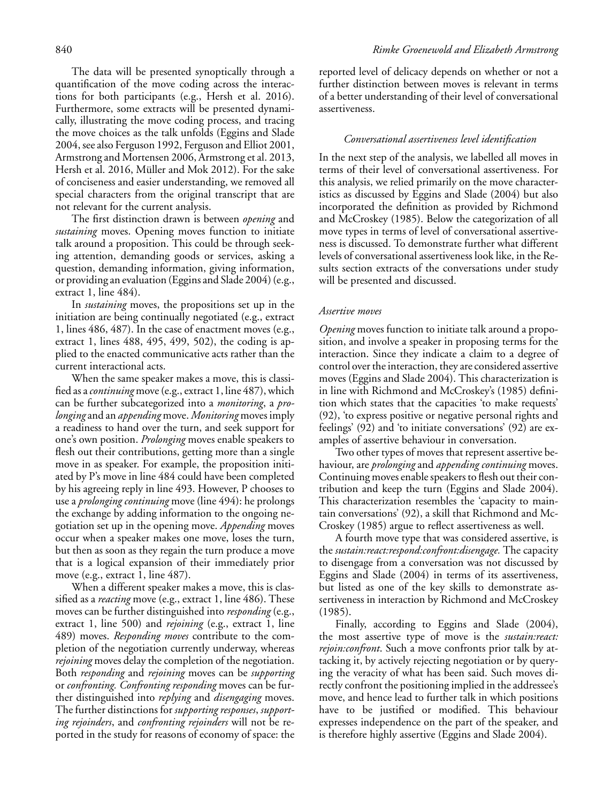The data will be presented synoptically through a quantification of the move coding across the interactions for both participants (e.g., Hersh et al. 2016). Furthermore, some extracts will be presented dynamically, illustrating the move coding process, and tracing the move choices as the talk unfolds (Eggins and Slade 2004, see also Ferguson 1992, Ferguson and Elliot 2001, Armstrong and Mortensen 2006, Armstrong et al. 2013, Hersh et al. 2016, Müller and Mok 2012). For the sake of conciseness and easier understanding, we removed all special characters from the original transcript that are not relevant for the current analysis.

The first distinction drawn is between *opening* and *sustaining* moves. Opening moves function to initiate talk around a proposition. This could be through seeking attention, demanding goods or services, asking a question, demanding information, giving information, or providing an evaluation (Eggins and Slade 2004) (e.g., extract 1, line 484).

In *sustaining* moves, the propositions set up in the initiation are being continually negotiated (e.g., extract 1, lines 486, 487). In the case of enactment moves (e.g., extract 1, lines 488, 495, 499, 502), the coding is applied to the enacted communicative acts rather than the current interactional acts.

When the same speaker makes a move, this is classified as a *continuing* move (e.g., extract 1, line 487), which can be further subcategorized into a *monitoring*, a *prolonging* and an *appending* move. *Monitoring* moves imply a readiness to hand over the turn, and seek support for one's own position. *Prolonging* moves enable speakers to flesh out their contributions, getting more than a single move in as speaker. For example, the proposition initiated by P's move in line 484 could have been completed by his agreeing reply in line 493. However, P chooses to use a *prolonging continuing* move (line 494): he prolongs the exchange by adding information to the ongoing negotiation set up in the opening move. *Appending* moves occur when a speaker makes one move, loses the turn, but then as soon as they regain the turn produce a move that is a logical expansion of their immediately prior move (e.g., extract 1, line 487).

When a different speaker makes a move, this is classified as a *reacting* move (e.g., extract 1, line 486). These moves can be further distinguished into *responding* (e.g., extract 1, line 500) and *rejoining* (e.g., extract 1, line 489) moves. *Responding moves* contribute to the completion of the negotiation currently underway, whereas *rejoining* moves delay the completion of the negotiation. Both *responding* and *rejoining* moves can be *supporting* or *confronting. Confronting responding* moves can be further distinguished into *replying* and *disengaging* moves. The further distinctions for *supporting responses*, *supporting rejoinders*, and *confronting rejoinders* will not be reported in the study for reasons of economy of space: the reported level of delicacy depends on whether or not a further distinction between moves is relevant in terms of a better understanding of their level of conversational assertiveness.

## *Conversational assertiveness level identification*

In the next step of the analysis, we labelled all moves in terms of their level of conversational assertiveness. For this analysis, we relied primarily on the move characteristics as discussed by Eggins and Slade (2004) but also incorporated the definition as provided by Richmond and McCroskey (1985). Below the categorization of all move types in terms of level of conversational assertiveness is discussed. To demonstrate further what different levels of conversational assertiveness look like, in the Results section extracts of the conversations under study will be presented and discussed.

## *Assertive moves*

*Opening* moves function to initiate talk around a proposition, and involve a speaker in proposing terms for the interaction. Since they indicate a claim to a degree of control over the interaction, they are considered assertive moves (Eggins and Slade 2004). This characterization is in line with Richmond and McCroskey's (1985) definition which states that the capacities 'to make requests' (92), 'to express positive or negative personal rights and feelings' (92) and 'to initiate conversations' (92) are examples of assertive behaviour in conversation.

Two other types of moves that represent assertive behaviour, are *prolonging* and *appending continuing* moves. Continuing moves enable speakers to flesh out their contribution and keep the turn (Eggins and Slade 2004). This characterization resembles the 'capacity to maintain conversations' (92), a skill that Richmond and Mc-Croskey (1985) argue to reflect assertiveness as well.

A fourth move type that was considered assertive, is the *sustain:react:respond:confront:disengage.* The capacity to disengage from a conversation was not discussed by Eggins and Slade (2004) in terms of its assertiveness, but listed as one of the key skills to demonstrate assertiveness in interaction by Richmond and McCroskey (1985).

Finally, according to Eggins and Slade (2004), the most assertive type of move is the *sustain:react: rejoin:confront*. Such a move confronts prior talk by attacking it, by actively rejecting negotiation or by querying the veracity of what has been said. Such moves directly confront the positioning implied in the addressee's move, and hence lead to further talk in which positions have to be justified or modified. This behaviour expresses independence on the part of the speaker, and is therefore highly assertive (Eggins and Slade 2004).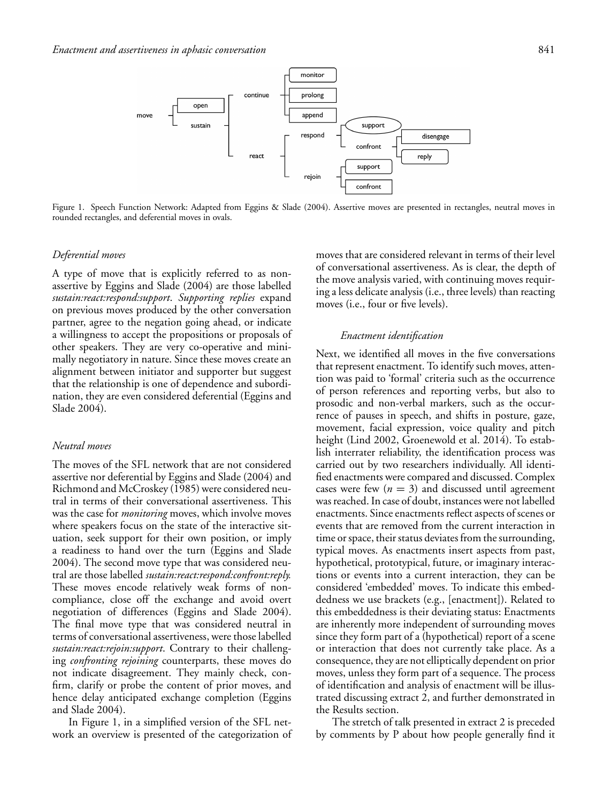

Figure 1. Speech Function Network: Adapted from Eggins & Slade (2004). Assertive moves are presented in rectangles, neutral moves in rounded rectangles, and deferential moves in ovals.

#### *Deferential moves*

A type of move that is explicitly referred to as nonassertive by Eggins and Slade (2004) are those labelled *sustain:react:respond:support*. *Supporting replies* expand on previous moves produced by the other conversation partner, agree to the negation going ahead, or indicate a willingness to accept the propositions or proposals of other speakers. They are very co-operative and minimally negotiatory in nature. Since these moves create an alignment between initiator and supporter but suggest that the relationship is one of dependence and subordination, they are even considered deferential (Eggins and Slade 2004).

## *Neutral moves*

The moves of the SFL network that are not considered assertive nor deferential by Eggins and Slade (2004) and Richmond and McCroskey (1985) were considered neutral in terms of their conversational assertiveness. This was the case for *monitoring* moves, which involve moves where speakers focus on the state of the interactive situation, seek support for their own position, or imply a readiness to hand over the turn (Eggins and Slade 2004). The second move type that was considered neutral are those labelled *sustain:react:respond:confront:reply.* These moves encode relatively weak forms of noncompliance, close off the exchange and avoid overt negotiation of differences (Eggins and Slade 2004). The final move type that was considered neutral in terms of conversational assertiveness, were those labelled *sustain:react:rejoin:support*. Contrary to their challenging *confronting rejoining* counterparts, these moves do not indicate disagreement. They mainly check, confirm, clarify or probe the content of prior moves, and hence delay anticipated exchange completion (Eggins and Slade 2004).

In Figure 1, in a simplified version of the SFL network an overview is presented of the categorization of moves that are considered relevant in terms of their level of conversational assertiveness. As is clear, the depth of the move analysis varied, with continuing moves requiring a less delicate analysis (i.e., three levels) than reacting moves (i.e., four or five levels).

### *Enactment identification*

Next, we identified all moves in the five conversations that represent enactment. To identify such moves, attention was paid to 'formal' criteria such as the occurrence of person references and reporting verbs, but also to prosodic and non-verbal markers, such as the occurrence of pauses in speech, and shifts in posture, gaze, movement, facial expression, voice quality and pitch height (Lind 2002, Groenewold et al. 2014). To establish interrater reliability, the identification process was carried out by two researchers individually. All identified enactments were compared and discussed. Complex cases were few  $(n = 3)$  and discussed until agreement was reached. In case of doubt, instances were not labelled enactments. Since enactments reflect aspects of scenes or events that are removed from the current interaction in time or space, their status deviates from the surrounding, typical moves. As enactments insert aspects from past, hypothetical, prototypical, future, or imaginary interactions or events into a current interaction, they can be considered 'embedded' moves. To indicate this embeddedness we use brackets (e.g., [enactment]). Related to this embeddedness is their deviating status: Enactments are inherently more independent of surrounding moves since they form part of a (hypothetical) report of a scene or interaction that does not currently take place. As a consequence, they are not elliptically dependent on prior moves, unless they form part of a sequence. The process of identification and analysis of enactment will be illustrated discussing extract 2, and further demonstrated in the Results section.

The stretch of talk presented in extract 2 is preceded by comments by P about how people generally find it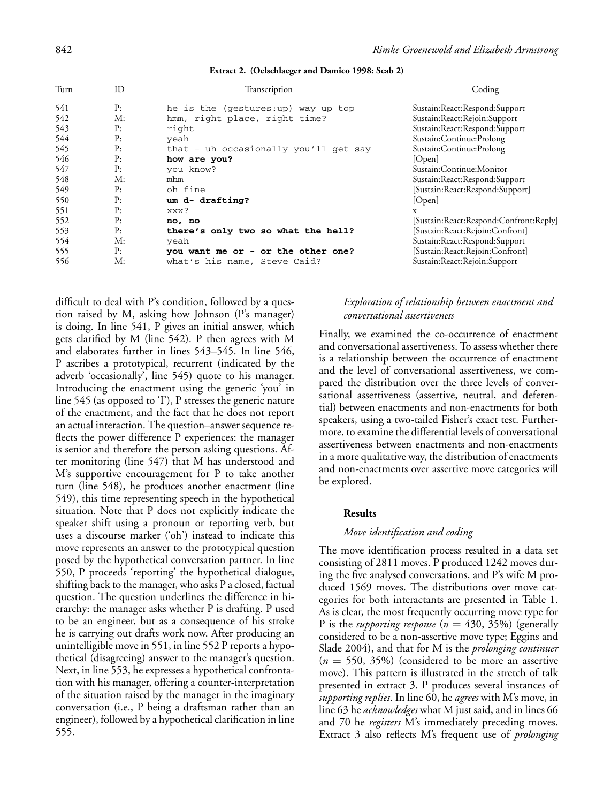**Extract 2. (Oelschlaeger and Damico 1998: Scab 2)**

| Turn | ID | Transcription                         | Coding                                 |
|------|----|---------------------------------------|----------------------------------------|
| 541  | P: | he is the (gestures:up) way up top    | Sustain:React:Respond:Support          |
| 542  | M: | hmm, right place, right time?         | Sustain: React: Rejoin: Support        |
| 543  | P: | right                                 | Sustain:React:Respond:Support          |
| 544  | P: | yeah                                  | Sustain: Continue: Prolong             |
| 545  | P: | that - uh occasionally you'll get say | Sustain:Continue:Prolong               |
| 546  | P: | how are you?                          | [Open]                                 |
| 547  | P: | you know?                             | Sustain:Continue:Monitor               |
| 548  | M: | mhm                                   | Sustain:React:Respond:Support          |
| 549  | P: | oh fine                               | [Sustain:React:Respond:Support]        |
| 550  | P: | um d- drafting?                       | [Open]                                 |
| 551  | P: | xxx?                                  | x                                      |
| 552  | P: | no, no                                | [Sustain:React:Respond:Confront:Reply] |
| 553  | P: | there's only two so what the hell?    | [Sustain:React:Rejoin:Confront]        |
| 554  | M: | yeah                                  | Sustain:React:Respond:Support          |
| 555  | P: | you want me or - or the other one?    | [Sustain:React:Rejoin:Confront]        |
| 556  | M: | what's his name, Steve Caid?          | Sustain:React:Rejoin:Support           |

difficult to deal with P's condition, followed by a question raised by M, asking how Johnson (P's manager) is doing. In line 541, P gives an initial answer, which gets clarified by M (line 542). P then agrees with M and elaborates further in lines 543–545. In line 546, P ascribes a prototypical, recurrent (indicated by the adverb 'occasionally', line 545) quote to his manager. Introducing the enactment using the generic 'you' in line 545 (as opposed to 'I'), P stresses the generic nature of the enactment, and the fact that he does not report an actual interaction. The question–answer sequence reflects the power difference P experiences: the manager is senior and therefore the person asking questions. After monitoring (line 547) that M has understood and M's supportive encouragement for P to take another turn (line 548), he produces another enactment (line 549), this time representing speech in the hypothetical situation. Note that P does not explicitly indicate the speaker shift using a pronoun or reporting verb, but uses a discourse marker ('oh') instead to indicate this move represents an answer to the prototypical question posed by the hypothetical conversation partner. In line 550, P proceeds 'reporting' the hypothetical dialogue, shifting back to the manager, who asks P a closed, factual question. The question underlines the difference in hierarchy: the manager asks whether P is drafting. P used to be an engineer, but as a consequence of his stroke he is carrying out drafts work now. After producing an unintelligible move in 551, in line 552 P reports a hypothetical (disagreeing) answer to the manager's question. Next, in line 553, he expresses a hypothetical confrontation with his manager, offering a counter-interpretation of the situation raised by the manager in the imaginary conversation (i.e., P being a draftsman rather than an engineer), followed by a hypothetical clarification in line 555.

## *Exploration of relationship between enactment and conversational assertiveness*

Finally, we examined the co-occurrence of enactment and conversational assertiveness. To assess whether there is a relationship between the occurrence of enactment and the level of conversational assertiveness, we compared the distribution over the three levels of conversational assertiveness (assertive, neutral, and deferential) between enactments and non-enactments for both speakers, using a two-tailed Fisher's exact test. Furthermore, to examine the differential levels of conversational assertiveness between enactments and non-enactments in a more qualitative way, the distribution of enactments and non-enactments over assertive move categories will be explored.

## **Results**

## *Move identification and coding*

The move identification process resulted in a data set consisting of 2811 moves. P produced 1242 moves during the five analysed conversations, and P's wife M produced 1569 moves. The distributions over move categories for both interactants are presented in Table 1. As is clear, the most frequently occurring move type for P is the *supporting response*  $(n = 430, 35\%)$  (generally considered to be a non-assertive move type; Eggins and Slade 2004), and that for M is the *prolonging continuer*  $(n = 550, 35\%)$  (considered to be more an assertive move). This pattern is illustrated in the stretch of talk presented in extract 3. P produces several instances of *supporting replies*. In line 60, he *agrees* with M's move, in line 63 he *acknowledges* what M just said, and in lines 66 and 70 he *registers* M's immediately preceding moves. Extract 3 also reflects M's frequent use of *prolonging*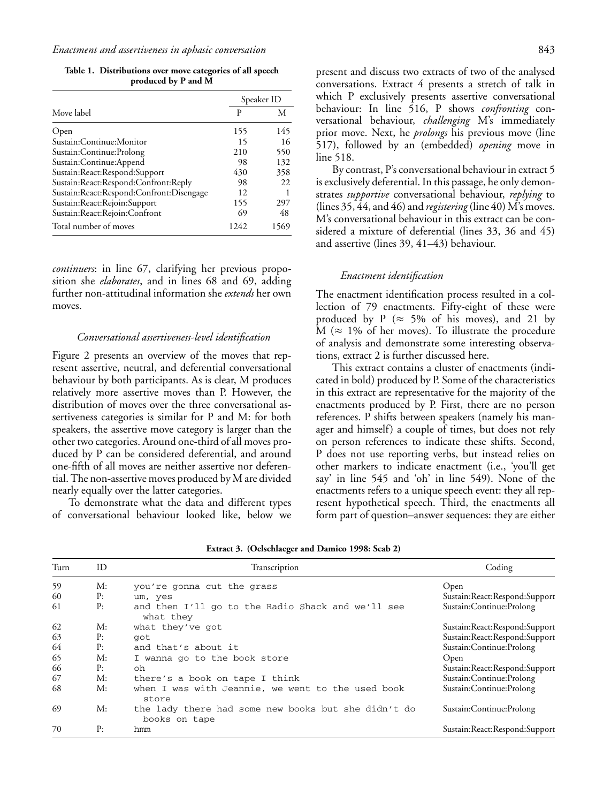**Table 1. Distributions over move categories of all speech produced by P and M**

|                                          |      | Speaker ID |
|------------------------------------------|------|------------|
| Move label                               | P    | M          |
| Open                                     | 155  | 145        |
| Sustain:Continue:Monitor                 | 15   | 16         |
| Sustain:Continue:Prolong                 | 210  | 550        |
| Sustain:Continue:Append                  | 98   | 132        |
| Sustain:React:Respond:Support            | 430  | 358        |
| Sustain:React:Respond:Confront:Reply     | 98   | 22.        |
| Sustain:React:Respond:Confront:Disengage | 12   |            |
| Sustain:React:Rejoin:Support             | 155  | 297        |
| Sustain:React:Rejoin:Confront            | 69   | 48         |
| Total number of moves                    | 1242 | 1569       |

*continuers*: in line 67, clarifying her previous proposition she *elaborates*, and in lines 68 and 69, adding further non-attitudinal information she *extends* her own moves.

#### *Conversational assertiveness-level identification*

Figure 2 presents an overview of the moves that represent assertive, neutral, and deferential conversational behaviour by both participants. As is clear, M produces relatively more assertive moves than P. However, the distribution of moves over the three conversational assertiveness categories is similar for P and M: for both speakers, the assertive move category is larger than the other two categories. Around one-third of all moves produced by P can be considered deferential, and around one-fifth of all moves are neither assertive nor deferential. The non-assertive moves produced by M are divided nearly equally over the latter categories.

To demonstrate what the data and different types of conversational behaviour looked like, below we

present and discuss two extracts of two of the analysed conversations. Extract 4 presents a stretch of talk in which P exclusively presents assertive conversational behaviour: In line 516, P shows *confronting* conversational behaviour, *challenging* M's immediately prior move. Next, he *prolongs* his previous move (line 517), followed by an (embedded) *opening* move in line 518.

By contrast, P's conversational behaviour in extract 5 is exclusively deferential. In this passage, he only demonstrates *supportive* conversational behaviour, *replying* to (lines 35, 44, and 46) and *registering*(line 40) M's moves. M's conversational behaviour in this extract can be considered a mixture of deferential (lines 33, 36 and 45) and assertive (lines 39, 41–43) behaviour.

## *Enactment identification*

The enactment identification process resulted in a collection of 79 enactments. Fifty-eight of these were produced by P ( $\approx$  5% of his moves), and 21 by  $M \approx 1\%$  of her moves). To illustrate the procedure of analysis and demonstrate some interesting observations, extract 2 is further discussed here.

This extract contains a cluster of enactments (indicated in bold) produced by P. Some of the characteristics in this extract are representative for the majority of the enactments produced by P. First, there are no person references. P shifts between speakers (namely his manager and himself) a couple of times, but does not rely on person references to indicate these shifts. Second, P does not use reporting verbs, but instead relies on other markers to indicate enactment (i.e., 'you'll get say' in line 545 and 'oh' in line 549). None of the enactments refers to a unique speech event: they all represent hypothetical speech. Third, the enactments all form part of question–answer sequences: they are either

| Turn | ID | Transcription                                                        | Coding                        |
|------|----|----------------------------------------------------------------------|-------------------------------|
| 59   | M: | you're gonna cut the grass                                           | Open                          |
| 60   | P: | um, yes                                                              | Sustain:React:Respond:Support |
| 61   | P: | and then I'll go to the Radio Shack and we'll see<br>what they       | Sustain:Continue:Prolong      |
| 62   | M: | what they've got                                                     | Sustain:React:Respond:Support |
| 63   | P: | got                                                                  | Sustain:React:Respond:Support |
| 64   | P: | and that's about it                                                  | Sustain:Continue:Prolong      |
| 65   | M: | I wanna go to the book store                                         | Open                          |
| 66   | P: | oh                                                                   | Sustain:React:Respond:Support |
| 67   | M: | there's a book on tape I think                                       | Sustain:Continue:Prolong      |
| 68   | M: | when I was with Jeannie, we went to the used book<br>store           | Sustain:Continue:Prolong      |
| 69   | M: | the lady there had some new books but she didn't do<br>books on tape | Sustain:Continue:Prolong      |
| 70   | P: | hmm                                                                  | Sustain:React:Respond:Support |

**Extract 3. (Oelschlaeger and Damico 1998: Scab 2)**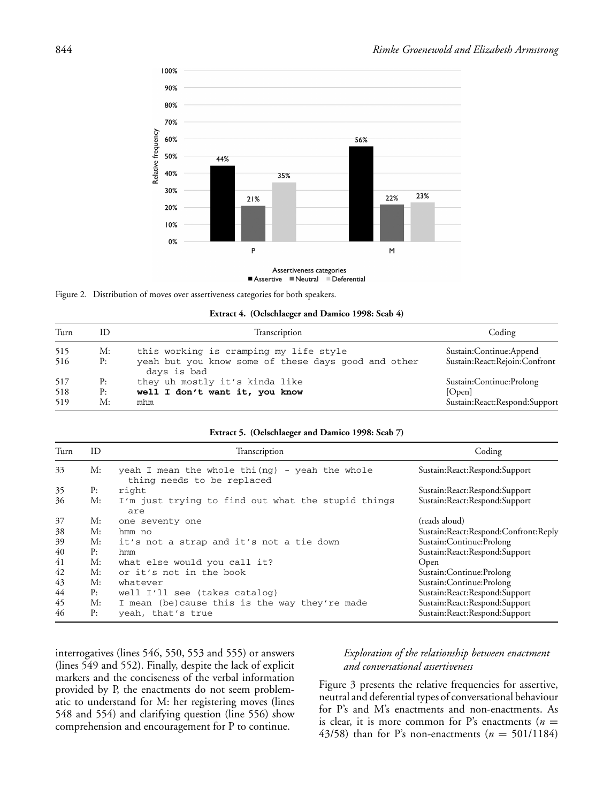

Assertiveness categories Assertive Neutral Deferential



**Extract 4. (Oelschlaeger and Damico 1998: Scab 4)**

| Turn |    | Transcription                                                      | Coding                           |
|------|----|--------------------------------------------------------------------|----------------------------------|
| 515  | M: | this working is cramping my life style                             | Sustain:Continue:Append          |
| 516  | P: | yeah but you know some of these days good and other<br>days is bad | Sustain: React: Rejoin: Confront |
| 517  | P: | they uh mostly it's kinda like                                     | Sustain:Continue:Prolong         |
| 518  | P: | well I don't want it, you know                                     | [Open]                           |
| 519  | М: | mhm                                                                | Sustain:React:Respond:Support    |

#### **Extract 5. (Oelschlaeger and Damico 1998: Scab 7)**

| Turn | ID | Transcription                                                                | Coding                               |
|------|----|------------------------------------------------------------------------------|--------------------------------------|
| 33   | M: | yeah I mean the whole thi(ng) - yeah the whole<br>thing needs to be replaced | Sustain: React: Respond: Support     |
| 35   | P: | right                                                                        | Sustain:React:Respond:Support        |
| 36   | M: | I'm just trying to find out what the stupid things<br>are                    | Sustain:React:Respond:Support        |
| 37   | M: | one seventy one                                                              | (reads aloud)                        |
| 38   | M: | hmm no                                                                       | Sustain:React:Respond:Confront:Reply |
| 39   | M: | it's not a strap and it's not a tie down                                     | Sustain:Continue:Prolong             |
| 40   | P: | hmm                                                                          | Sustain: React: Respond: Support     |
| 41   | M: | what else would you call it?                                                 | Open                                 |
| 42   | M: | or it's not in the book                                                      | Sustain:Continue:Prolong             |
| 43   | M: | whatever                                                                     | Sustain:Continue:Prolong             |
| 44   | P: | well I'll see (takes catalog)                                                | Sustain:React:Respond:Support        |
| 45   | M: | I mean (be) cause this is the way they're made                               | Sustain:React:Respond:Support        |
| 46   | P: | yeah, that's true                                                            | Sustain:React:Respond:Support        |

interrogatives (lines 546, 550, 553 and 555) or answers (lines 549 and 552). Finally, despite the lack of explicit markers and the conciseness of the verbal information provided by P, the enactments do not seem problematic to understand for M: her registering moves (lines 548 and 554) and clarifying question (line 556) show comprehension and encouragement for P to continue.

## *Exploration of the relationship between enactment and conversational assertiveness*

Figure 3 presents the relative frequencies for assertive, neutral and deferential types of conversational behaviour for P's and M's enactments and non-enactments. As is clear, it is more common for P's enactments ( $n =$ 43/58) than for P's non-enactments (*n* = 501/1184)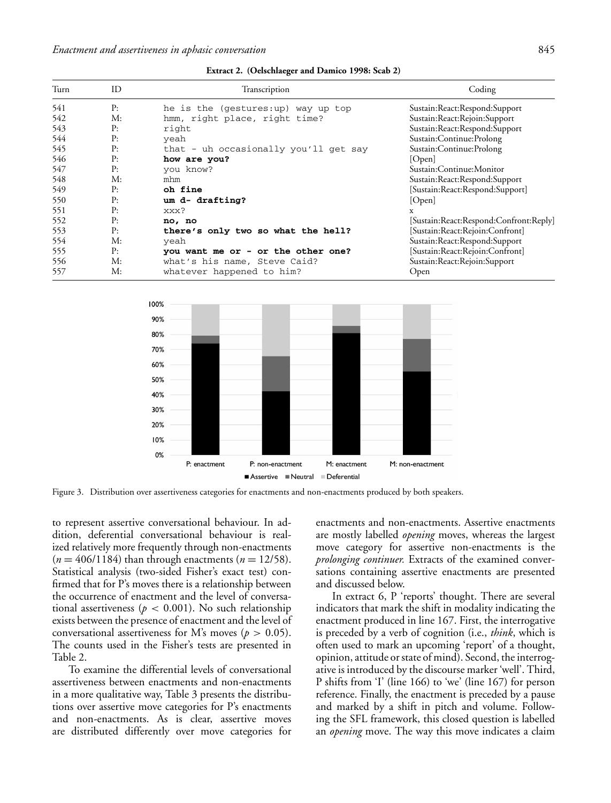| Turn | ID             | Transcription                         | Coding                                 |
|------|----------------|---------------------------------------|----------------------------------------|
| 541  | P:             | he is the (gestures:up) way up top    | Sustain: React: Respond: Support       |
| 542  | M:             | hmm, right place, right time?         | Sustain: React: Rejoin: Support        |
| 543  | P:             | right                                 | Sustain:React:Respond:Support          |
| 544  | P:             | yeah                                  | Sustain:Continue:Prolong               |
| 545  | P:             | that - uh occasionally you'll get say | Sustain:Continue:Prolong               |
| 546  | P <sub>1</sub> | how are you?                          | [Open]                                 |
| 547  | P <sub>1</sub> | you know?                             | Sustain:Continue:Monitor               |
| 548  | M:             | mhm                                   | Sustain:React:Respond:Support          |
| 549  | P:             | oh fine                               | [Sustain:React:Respond:Support]        |
| 550  | P <sub>1</sub> | um d- drafting?                       | [Open]                                 |
| 551  | P:             | xxx?                                  | X                                      |
| 552  | P:             | no, no                                | [Sustain:React:Respond:Confront:Reply] |
| 553  | P:             | there's only two so what the hell?    | [Sustain:React:Rejoin:Confront]        |
| 554  | M:             | yeah                                  | Sustain:React:Respond:Support          |
| 555  | P:             | you want me or - or the other one?    | [Sustain:React:Rejoin:Confront]        |
| 556  | M:             | what's his name, Steve Caid?          | Sustain:React:Rejoin:Support           |
| 557  | M:             | whatever happened to him?             | Open                                   |



Figure 3. Distribution over assertiveness categories for enactments and non-enactments produced by both speakers.

to represent assertive conversational behaviour. In addition, deferential conversational behaviour is realized relatively more frequently through non-enactments  $(n = 406/1184)$  than through enactments  $(n = 12/58)$ . Statistical analysis (two-sided Fisher's exact test) confirmed that for P's moves there is a relationship between the occurrence of enactment and the level of conversational assertiveness (*p <* 0.001). No such relationship exists between the presence of enactment and the level of conversational assertiveness for M's moves ( $p > 0.05$ ). The counts used in the Fisher's tests are presented in Table 2.

To examine the differential levels of conversational assertiveness between enactments and non-enactments in a more qualitative way, Table 3 presents the distributions over assertive move categories for P's enactments and non-enactments. As is clear, assertive moves are distributed differently over move categories for enactments and non-enactments. Assertive enactments are mostly labelled *opening* moves, whereas the largest move category for assertive non-enactments is the *prolonging continuer.* Extracts of the examined conversations containing assertive enactments are presented and discussed below.

In extract 6, P 'reports' thought. There are several indicators that mark the shift in modality indicating the enactment produced in line 167. First, the interrogative is preceded by a verb of cognition (i.e., *think*, which is often used to mark an upcoming 'report' of a thought, opinion, attitude or state of mind). Second, the interrogative is introduced by the discourse marker 'well'. Third, P shifts from 'I' (line 166) to 'we' (line 167) for person reference. Finally, the enactment is preceded by a pause and marked by a shift in pitch and volume. Following the SFL framework, this closed question is labelled an *opening* move. The way this move indicates a claim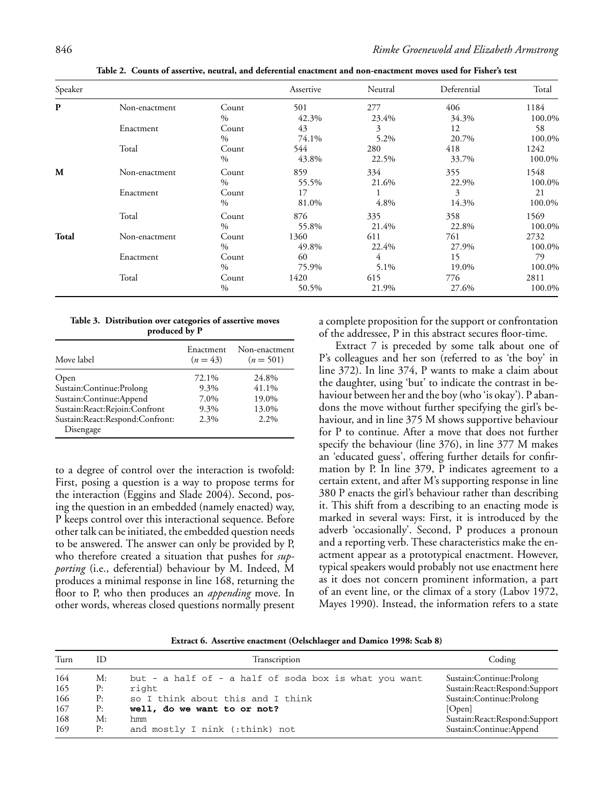| Speaker      |               |               | Assertive   | Neutral    | Deferential | Total        |
|--------------|---------------|---------------|-------------|------------|-------------|--------------|
| P            | Non-enactment | Count<br>$\%$ | 501         | 277        | 406         | 1184         |
|              | Enactment     | Count         | 42.3%<br>43 | 23.4%<br>3 | 34.3%<br>12 | 100.0%<br>58 |
|              |               | $\%$          | 74.1%       | 5.2%       | 20.7%       | 100.0%       |
|              | Total         | Count         | 544         | 280        | 418         | 1242         |
|              |               | $\%$          | 43.8%       | 22.5%      | 33.7%       | 100.0%       |
| M            | Non-enactment | Count         | 859         | 334        | 355         | 1548         |
|              |               | $\%$          | 55.5%       | 21.6%      | 22.9%       | 100.0%       |
|              | Enactment     | Count         | 17          |            | 3           | 21           |
|              |               | $\%$          | 81.0%       | 4.8%       | 14.3%       | 100.0%       |
|              | Total         | Count         | 876         | 335        | 358         | 1569         |
|              |               | $\%$          | 55.8%       | 21.4%      | 22.8%       | 100.0%       |
| <b>Total</b> | Non-enactment | Count         | 1360        | 611        | 761         | 2732         |
|              |               | $\%$          | 49.8%       | 22.4%      | 27.9%       | 100.0%       |
|              | Enactment     | Count         | 60          | 4          | 15          | 79           |
|              |               | $\%$          | 75.9%       | 5.1%       | 19.0%       | 100.0%       |
|              | Total         | Count         | 1420        | 615        | 776         | 2811         |
|              |               | $\%$          | 50.5%       | 21.9%      | 27.6%       | 100.0%       |

**Table 2. Counts of assertive, neutral, and deferential enactment and non-enactment moves used for Fisher's test**

| Table 3. Distribution over categories of assertive moves |
|----------------------------------------------------------|
| produced by P                                            |

| Move label                                   | Enactment<br>$(n = 43)$ | Non-enactment<br>$(n = 501)$ |
|----------------------------------------------|-------------------------|------------------------------|
| Open                                         | 72.1%                   | 24.8%                        |
| Sustain:Continue:Prolong                     | 9.3%                    | 41.1%                        |
| Sustain:Continue:Append                      | 7.0%                    | 19.0%                        |
| Sustain:React:Rejoin:Confront                | 9.3%                    | 13.0%                        |
| Sustain:React:Respond:Confront:<br>Disengage | 2.3%                    | $2.2\%$                      |

to a degree of control over the interaction is twofold: First, posing a question is a way to propose terms for the interaction (Eggins and Slade 2004). Second, posing the question in an embedded (namely enacted) way, P keeps control over this interactional sequence. Before other talk can be initiated, the embedded question needs to be answered. The answer can only be provided by P, who therefore created a situation that pushes for *supporting* (i.e., deferential) behaviour by M. Indeed, M produces a minimal response in line 168, returning the floor to P, who then produces an *appending* move. In other words, whereas closed questions normally present a complete proposition for the support or confrontation of the addressee, P in this abstract secures floor-time.

Extract 7 is preceded by some talk about one of P's colleagues and her son (referred to as 'the boy' in line 372). In line 374, P wants to make a claim about the daughter, using 'but' to indicate the contrast in behaviour between her and the boy (who 'is okay'). P abandons the move without further specifying the girl's behaviour, and in line 375 M shows supportive behaviour for P to continue. After a move that does not further specify the behaviour (line 376), in line 377 M makes an 'educated guess', offering further details for confirmation by P. In line 379, P indicates agreement to a certain extent, and after M's supporting response in line 380 P enacts the girl's behaviour rather than describing it. This shift from a describing to an enacting mode is marked in several ways: First, it is introduced by the adverb 'occasionally'. Second, P produces a pronoun and a reporting verb. These characteristics make the enactment appear as a prototypical enactment. However, typical speakers would probably not use enactment here as it does not concern prominent information, a part of an event line, or the climax of a story (Labov 1972, Mayes 1990). Instead, the information refers to a state

**Extract 6. Assertive enactment (Oelschlaeger and Damico 1998: Scab 8)**

| Turn | ID | Transcription                                         | Coding                        |
|------|----|-------------------------------------------------------|-------------------------------|
| 164  | M: | but - a half of - a half of soda box is what you want | Sustain: Continue: Prolong    |
| 165  | P: | right                                                 | Sustain:React:Respond:Support |
| 166  | P: | so I think about this and I think                     | Sustain: Continue: Prolong    |
| 167  | P: | well, do we want to or not?                           | [Open]                        |
| 168  | M: | hmm                                                   | Sustain:React:Respond:Support |
| 169  | P: | and mostly I nink (:think) not                        | Sustain:Continue:Append       |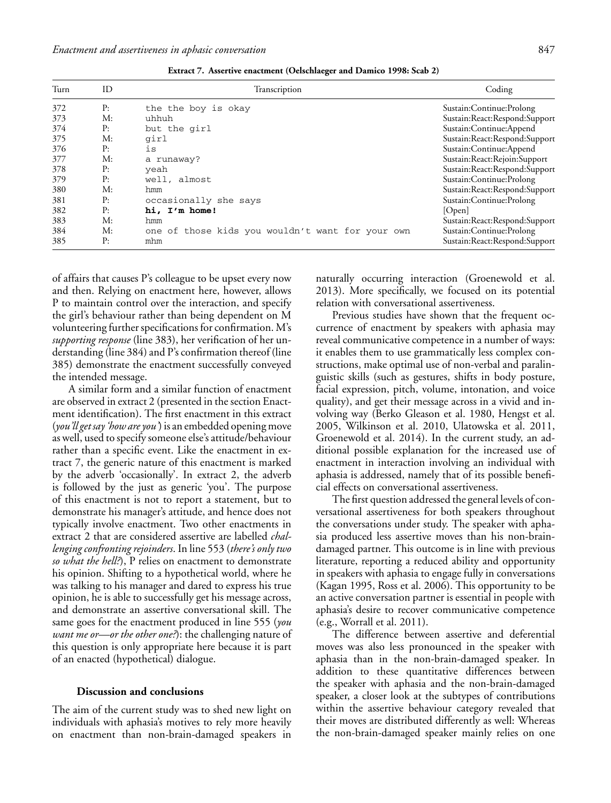| Turn | ID | Transcription                                    | Coding                          |
|------|----|--------------------------------------------------|---------------------------------|
| 372  | P: | the the boy is okay                              | Sustain:Continue:Prolong        |
| 373  | M: | uhhuh                                            | Sustain:React:Respond:Support   |
| 374  | P: | but the girl                                     | Sustain:Continue:Append         |
| 375  | M: | girl                                             | Sustain:React:Respond:Support   |
| 376  | P: | is                                               | Sustain:Continue:Append         |
| 377  | M: | a runaway?                                       | Sustain: React: Rejoin: Support |
| 378  | P: | yeah                                             | Sustain:React:Respond:Support   |
| 379  | P: | well, almost                                     | Sustain:Continue:Prolong        |
| 380  | M: | hmm                                              | Sustain:React:Respond:Support   |
| 381  | P: | occasionally she says                            | Sustain:Continue:Prolong        |
| 382  | P: | hi, I'm home!                                    | [Open]                          |
| 383  | M: | hmm                                              | Sustain:React:Respond:Support   |
| 384  | M: | one of those kids you wouldn't want for your own | Sustain:Continue:Prolong        |
| 385  | P: | mhm                                              | Sustain:React:Respond:Support   |

**Extract 7. Assertive enactment (Oelschlaeger and Damico 1998: Scab 2)**

of affairs that causes P's colleague to be upset every now and then. Relying on enactment here, however, allows P to maintain control over the interaction, and specify the girl's behaviour rather than being dependent on M volunteering further specifications for confirmation. M's *supporting response* (line 383), her verification of her understanding (line 384) and P's confirmation thereof (line 385) demonstrate the enactment successfully conveyed the intended message.

A similar form and a similar function of enactment are observed in extract 2 (presented in the section Enactment identification). The first enactment in this extract (*you'll get say 'how are you'*) is an embedded opening move as well, used to specify someone else's attitude/behaviour rather than a specific event. Like the enactment in extract 7, the generic nature of this enactment is marked by the adverb 'occasionally'. In extract 2, the adverb is followed by the just as generic 'you'. The purpose of this enactment is not to report a statement, but to demonstrate his manager's attitude, and hence does not typically involve enactment. Two other enactments in extract 2 that are considered assertive are labelled *challenging confronting rejoinders*. In line 553 (*there's only two so what the hell?*), P relies on enactment to demonstrate his opinion. Shifting to a hypothetical world, where he was talking to his manager and dared to express his true opinion, he is able to successfully get his message across, and demonstrate an assertive conversational skill. The same goes for the enactment produced in line 555 (*you want me or—or the other one?*): the challenging nature of this question is only appropriate here because it is part of an enacted (hypothetical) dialogue.

## **Discussion and conclusions**

The aim of the current study was to shed new light on individuals with aphasia's motives to rely more heavily on enactment than non-brain-damaged speakers in naturally occurring interaction (Groenewold et al. 2013). More specifically, we focused on its potential relation with conversational assertiveness.

Previous studies have shown that the frequent occurrence of enactment by speakers with aphasia may reveal communicative competence in a number of ways: it enables them to use grammatically less complex constructions, make optimal use of non-verbal and paralinguistic skills (such as gestures, shifts in body posture, facial expression, pitch, volume, intonation, and voice quality), and get their message across in a vivid and involving way (Berko Gleason et al. 1980, Hengst et al. 2005, Wilkinson et al. 2010, Ulatowska et al. 2011, Groenewold et al. 2014). In the current study, an additional possible explanation for the increased use of enactment in interaction involving an individual with aphasia is addressed, namely that of its possible beneficial effects on conversational assertiveness.

The first question addressed the general levels of conversational assertiveness for both speakers throughout the conversations under study. The speaker with aphasia produced less assertive moves than his non-braindamaged partner. This outcome is in line with previous literature, reporting a reduced ability and opportunity in speakers with aphasia to engage fully in conversations (Kagan 1995, Ross et al. 2006). This opportunity to be an active conversation partner is essential in people with aphasia's desire to recover communicative competence (e.g., Worrall et al. 2011).

The difference between assertive and deferential moves was also less pronounced in the speaker with aphasia than in the non-brain-damaged speaker. In addition to these quantitative differences between the speaker with aphasia and the non-brain-damaged speaker, a closer look at the subtypes of contributions within the assertive behaviour category revealed that their moves are distributed differently as well: Whereas the non-brain-damaged speaker mainly relies on one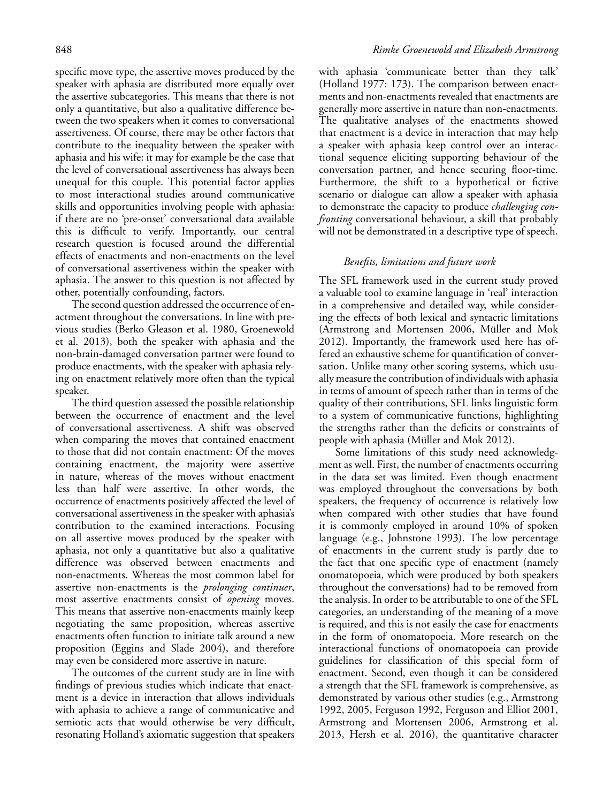specific move type, the assertive moves produced by the speaker with aphasia are distributed more equally over the assertive subcategories. This means that there is not only a quantitative, but also a qualitative difference between the two speakers when it comes to conversational assertiveness. Of course, there may be other factors that contribute to the inequality between the speaker with aphasia and his wife: it may for example be the case that the level of conversational assertiveness has always been unequal for this couple. This potential factor applies to most interactional studies around communicative skills and opportunities involving people with aphasia: if there are no 'pre-onset' conversational data available this is difficult to verify. Importantly, our central research question is focused around the differential effects of enactments and non-enactments on the level of conversational assertiveness within the speaker with aphasia. The answer to this question is not affected by other, potentially confounding, factors.

The second question addressed the occurrence of enactment throughout the conversations. In line with previous studies (Berko Gleason et al. 1980, Groenewold et al. 2013), both the speaker with aphasia and the non-brain-damaged conversation partner were found to produce enactments, with the speaker with aphasia relying on enactment relatively more often than the typical speaker.

The third question assessed the possible relationship between the occurrence of enactment and the level of conversational assertiveness. A shift was observed when comparing the moves that contained enactment to those that did not contain enactment: Of the moves containing enactment, the majority were assertive in nature, whereas of the moves without enactment less than half were assertive. In other words, the occurrence of enactments positively affected the level of conversational assertiveness in the speaker with aphasia's contribution to the examined interactions. Focusing on all assertive moves produced by the speaker with aphasia, not only a quantitative but also a qualitative difference was observed between enactments and non-enactments. Whereas the most common label for assertive non-enactments is the *prolonging continuer*, most assertive enactments consist of *opening* moves. This means that assertive non-enactments mainly keep negotiating the same proposition, whereas assertive enactments often function to initiate talk around a new proposition (Eggins and Slade 2004), and therefore may even be considered more assertive in nature.

The outcomes of the current study are in line with findings of previous studies which indicate that enactment is a device in interaction that allows individuals with aphasia to achieve a range of communicative and semiotic acts that would otherwise be very difficult, resonating Holland's axiomatic suggestion that speakers

with aphasia 'communicate better than they talk' (Holland 1977: 173). The comparison between enactments and non-enactments revealed that enactments are generally more assertive in nature than non-enactments. The qualitative analyses of the enactments showed that enactment is a device in interaction that may help a speaker with aphasia keep control over an interactional sequence eliciting supporting behaviour of the conversation partner, and hence securing floor-time. Furthermore, the shift to a hypothetical or fictive scenario or dialogue can allow a speaker with aphasia to demonstrate the capacity to produce *challenging confronting* conversational behaviour, a skill that probably will not be demonstrated in a descriptive type of speech.

## *Benefits, limitations and future work*

The SFL framework used in the current study proved a valuable tool to examine language in 'real' interaction in a comprehensive and detailed way, while considering the effects of both lexical and syntactic limitations (Armstrong and Mortensen 2006, Müller and Mok 2012). Importantly, the framework used here has offered an exhaustive scheme for quantification of conversation. Unlike many other scoring systems, which usually measure the contribution of individuals with aphasia in terms of amount of speech rather than in terms of the quality of their contributions, SFL links linguistic form to a system of communicative functions, highlighting the strengths rather than the deficits or constraints of people with aphasia (Müller and Mok 2012).

Some limitations of this study need acknowledgment as well. First, the number of enactments occurring in the data set was limited. Even though enactment was employed throughout the conversations by both speakers, the frequency of occurrence is relatively low when compared with other studies that have found it is commonly employed in around 10% of spoken language (e.g., Johnstone 1993). The low percentage of enactments in the current study is partly due to the fact that one specific type of enactment (namely onomatopoeia, which were produced by both speakers throughout the conversations) had to be removed from the analysis. In order to be attributable to one of the SFL categories, an understanding of the meaning of a move is required, and this is not easily the case for enactments in the form of onomatopoeia. More research on the interactional functions of onomatopoeia can provide guidelines for classification of this special form of enactment. Second, even though it can be considered a strength that the SFL framework is comprehensive, as demonstrated by various other studies (e.g., Armstrong 1992, 2005, Ferguson 1992, Ferguson and Elliot 2001, Armstrong and Mortensen 2006, Armstrong et al. 2013, Hersh et al. 2016), the quantitative character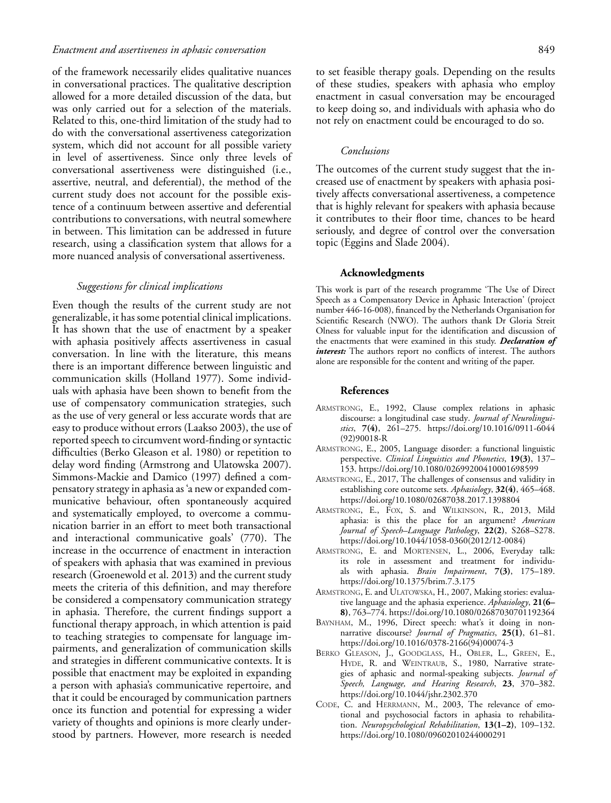### *Enactment and assertiveness in aphasic conversation* 849

of the framework necessarily elides qualitative nuances in conversational practices. The qualitative description allowed for a more detailed discussion of the data, but was only carried out for a selection of the materials. Related to this, one-third limitation of the study had to do with the conversational assertiveness categorization system, which did not account for all possible variety in level of assertiveness. Since only three levels of conversational assertiveness were distinguished (i.e., assertive, neutral, and deferential), the method of the current study does not account for the possible existence of a continuum between assertive and deferential contributions to conversations, with neutral somewhere in between. This limitation can be addressed in future research, using a classification system that allows for a more nuanced analysis of conversational assertiveness.

#### *Suggestions for clinical implications*

Even though the results of the current study are not generalizable, it has some potential clinical implications. It has shown that the use of enactment by a speaker with aphasia positively affects assertiveness in casual conversation. In line with the literature, this means there is an important difference between linguistic and communication skills (Holland 1977). Some individuals with aphasia have been shown to benefit from the use of compensatory communication strategies, such as the use of very general or less accurate words that are easy to produce without errors (Laakso 2003), the use of reported speech to circumvent word-finding or syntactic difficulties (Berko Gleason et al. 1980) or repetition to delay word finding (Armstrong and Ulatowska 2007). Simmons-Mackie and Damico (1997) defined a compensatory strategy in aphasia as 'a new or expanded communicative behaviour, often spontaneously acquired and systematically employed, to overcome a communication barrier in an effort to meet both transactional and interactional communicative goals' (770). The increase in the occurrence of enactment in interaction of speakers with aphasia that was examined in previous research (Groenewold et al. 2013) and the current study meets the criteria of this definition, and may therefore be considered a compensatory communication strategy in aphasia. Therefore, the current findings support a functional therapy approach, in which attention is paid to teaching strategies to compensate for language impairments, and generalization of communication skills and strategies in different communicative contexts. It is possible that enactment may be exploited in expanding a person with aphasia's communicative repertoire, and that it could be encouraged by communication partners once its function and potential for expressing a wider variety of thoughts and opinions is more clearly understood by partners. However, more research is needed to set feasible therapy goals. Depending on the results of these studies, speakers with aphasia who employ enactment in casual conversation may be encouraged to keep doing so, and individuals with aphasia who do not rely on enactment could be encouraged to do so.

### *Conclusions*

The outcomes of the current study suggest that the increased use of enactment by speakers with aphasia positively affects conversational assertiveness, a competence that is highly relevant for speakers with aphasia because it contributes to their floor time, chances to be heard seriously, and degree of control over the conversation topic (Eggins and Slade 2004).

## **Acknowledgments**

This work is part of the research programme 'The Use of Direct Speech as a Compensatory Device in Aphasic Interaction' (project number 446-16-008), financed by the Netherlands Organisation for Scientific Research (NWO). The authors thank Dr Gloria Streit Olness for valuable input for the identification and discussion of the enactments that were examined in this study. *Declaration of interest:* The authors report no conflicts of interest. The authors alone are responsible for the content and writing of the paper.

## **References**

- ARMSTRONG, E., 1992, Clause complex relations in aphasic discourse: a longitudinal case study. *Journal of Neurolinguistics*, **7(4)**, 261–275. [https://doi.org/10.1016/0911-6044](https://doi.org/10.1016/0911-6044(92)90018-R) [\(92\)90018-R](https://doi.org/10.1016/0911-6044(92)90018-R)
- ARMSTRONG, E., 2005, Language disorder: a functional linguistic perspective. *Clinical Linguistics and Phonetics*, **19(3)**, 137– 153.<https://doi.org/10.1080/02699200410001698599>
- ARMSTRONG, E., 2017, The challenges of consensus and validity in establishing core outcome sets. *Aphasiology*, **32(4)**, 465–468. <https://doi.org/10.1080/02687038.2017.1398804>
- ARMSTRONG, E., FOX, S. and WILKINSON, R., 2013, Mild aphasia: is this the place for an argument? *American Journal of Speech–Language Pathology*, **22(2)**, S268–S278. [https://doi.org/10.1044/1058-0360\(2012/12-0084\)](https://doi.org/10.1044/1058-0360(2012/12-0084))
- ARMSTRONG, E. and MORTENSEN, L., 2006, Everyday talk: its role in assessment and treatment for individuals with aphasia. *Brain Impairment*, **7(3)**, 175–189. <https://doi.org/10.1375/brim.7.3.175>
- ARMSTRONG, E. and ULATOWSKA, H., 2007, Making stories: evaluative language and the aphasia experience. *Aphasiology*, **21(6– 8)**, 763–774.<https://doi.org/10.1080/02687030701192364>
- BAYNHAM, M., 1996, Direct speech: what's it doing in nonnarrative discourse? *Journal of Pragmatics*, **25(1)**, 61–81. [https://doi.org/10.1016/0378-2166\(94\)00074-3](https://doi.org/10.1016/0378-2166(94)00074-3)
- BERKO GLEASON, J., GOODGLASS, H., OBLER, L., GREEN, E., HYDE, R. and WEINTRAUB, S., 1980, Narrative strategies of aphasic and normal-speaking subjects. *Journal of Speech, Language, and Hearing Research*, **23**, 370–382. <https://doi.org/10.1044/jshr.2302.370>
- CODE, C. and HERRMANN, M., 2003, The relevance of emotional and psychosocial factors in aphasia to rehabilitation. *Neuropsychological Rehabilitation*, **13(1–2)**, 109–132. <https://doi.org/10.1080/09602010244000291>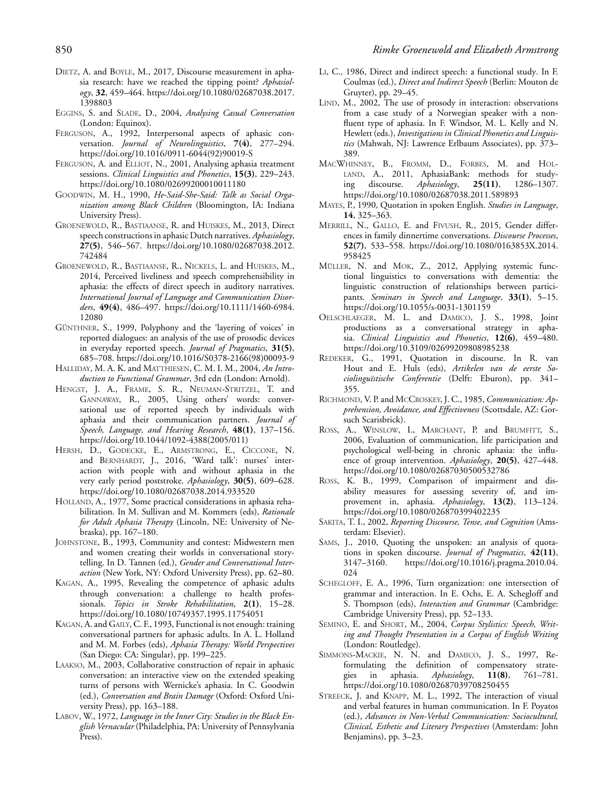- DIETZ, A. and BOYLE, M., 2017, Discourse measurement in aphasia research: have we reached the tipping point? *Aphasiology*, **32**, 459–464. [https://doi.org/10.1080/02687038.2017.](https://doi.org/10.1080/02687038.2017.1398803) [1398803](https://doi.org/10.1080/02687038.2017.1398803)
- EGGINS, S. and SLADE, D., 2004, *Analysing Casual Conversation* (London: Equinox).
- FERGUSON, A., 1992, Interpersonal aspects of aphasic conversation. *Journal of Neurolinguistics*, **7(4)**, 277–294. [https://doi.org/10.1016/0911-6044\(92\)90019-S](https://doi.org/10.1016/0911-6044(92)90019-S)
- FERGUSON, A. and ELLIOT, N., 2001, Analysing aphasia treatment sessions. *Clinical Linguistics and Phonetics*, **15(3)**, 229–243. <https://doi.org/10.1080/02699200010011180>
- GOODWIN, M. H., 1990, *He-Said-She-Said: Talk as Social Organization among Black Children* (Bloomington, IA: Indiana University Press).
- GROENEWOLD, R., BASTIAANSE, R. and HUISKES, M., 2013, Direct speech constructions in aphasic Dutch narratives. *Aphasiology*, **27(5)**, 546–567. [https://doi.org/10.1080/02687038.2012.](https://doi.org/10.1080/02687038.2012.742484) [742484](https://doi.org/10.1080/02687038.2012.742484)
- GROENEWOLD, R., BASTIAANSE, R., NICKELS, L. and HUISKES, M., 2014, Perceived liveliness and speech comprehensibility in aphasia: the effects of direct speech in auditory narratives. *International Journal of Language and Communication Disorders*, **49(4)**, 486–497. [https://doi.org/10.1111/1460-6984.](https://doi.org/10.1111/1460-6984.12080) [12080](https://doi.org/10.1111/1460-6984.12080)
- GUNTHNER, S., 1999, Polyphony and the 'layering of voices' in reported dialogues: an analysis of the use of prosodic devices in everyday reported speech. *Journal of Pragmatics*, **31(5)**, 685–708. [https://doi.org/10.1016/S0378-2166\(98\)00093-9](https://doi.org/10.1016/S0378-2166(98)00093-9)
- HALLIDAY, M. A. K. and MATTHIESEN, C. M. I. M., 2004, *An Introduction to Functional Grammar*, 3rd edn (London: Arnold).
- HENGST, J. A., FRAME, S. R., NEUMAN-STRITZEL, T. and GANNAWAY, R., 2005, Using others' words: conversational use of reported speech by individuals with aphasia and their communication partners. *Journal of Speech, Language, and Hearing Research*, **48(1)**, 137–156. [https://doi.org/10.1044/1092-4388\(2005/011\)](https://doi.org/10.1044/1092-4388(2005/011))
- HERSH, D., GODECKE, E., ARMSTRONG, E., CICCONE, N. and BERNHARDT, J., 2016, 'Ward talk': nurses' interaction with people with and without aphasia in the very early period poststroke. *Aphasiology*, **30(5)**, 609–628. <https://doi.org/10.1080/02687038.2014.933520>
- HOLLAND, A., 1977, Some practical considerations in aphasia rehabilitation. In M. Sullivan and M. Kommers (eds), *Rationale for Adult Aphasia Therapy* (Lincoln, NE: University of Nebraska), pp. 167–180.
- JOHNSTONE, B., 1993, Community and contest: Midwestern men and women creating their worlds in conversational storytelling. In D. Tannen (ed.), *Gender and Conversational Interaction* (New York, NY: Oxford University Press), pp. 62–80.
- KAGAN, A., 1995, Revealing the competence of aphasic adults through conversation: a challenge to health professionals. *Topics in Stroke Rehabilitation*, **2(1)**, 15–28. <https://doi.org/10.1080/10749357.1995.11754051>
- KAGAN, A. and GAILY, C. F., 1993, Functional is not enough: training conversational partners for aphasic adults. In A. L. Holland and M. M. Forbes (eds), *Aphasia Therapy: World Perspectives* (San Diego: CA: Singular), pp. 199–225.
- LAAKSO, M., 2003, Collaborative construction of repair in aphasic conversation: an interactive view on the extended speaking turns of persons with Wernicke's aphasia. In C. Goodwin (ed.), *Conversation and Brain Damage* (Oxford: Oxford University Press), pp. 163–188.
- LABOV, W., 1972, *Language in the Inner City: Studies in the Black English Vernacular* (Philadelphia, PA: University of Pennsylvania Press).
- LI, C., 1986, Direct and indirect speech: a functional study. In F. Coulmas (ed.), *Direct and Indirect Speech* (Berlin: Mouton de Gruyter), pp. 29–45.
- LIND, M., 2002, The use of prosody in interaction: observations from a case study of a Norwegian speaker with a nonfluent type of aphasia. In F. Windsor, M. L. Kelly and N. Hewlett (eds.), *Investigations in Clinical Phonetics and Linguistics* (Mahwah, NJ: Lawrence Erlbaum Associates), pp. 373– 389.
- MACWHINNEY, B., FROMM, D., FORBES, M. and HOL-LAND, A., 2011, AphasiaBank: methods for study-<br>ing discourse. Aphasiology, 25(11), 1286–1307. ing discourse. *Aphasiology*, <https://doi.org/10.1080/02687038.2011.589893>
- MAYES, P., 1990, Quotation in spoken English. *Studies in Language*, **14**, 325–363.
- MERRILL, N., GALLO, E. and FIVUSH, R., 2015, Gender differences in family dinnertime conversations. *Discourse Processes*, **52(7)**, 533–558. [https://doi.org/10.1080/0163853X.2014.](https://doi.org/10.1080/0163853X.2014.958425) [958425](https://doi.org/10.1080/0163853X.2014.958425)
- MÜLLER, N. and MOK, Z., 2012, Applying systemic functional linguistics to conversations with dementia: the linguistic construction of relationships between participants. *Seminars in Speech and Language*, **33(1)**, 5–15. <https://doi.org/10.1055/s-0031-1301159>
- OELSCHLAEGER, M. L. and DAMICO, J. S., 1998, Joint productions as a conversational strategy in aphasia. *Clinical Linguistics and Phonetics*, **12(6)**, 459–480. <https://doi.org/10.3109/02699209808985238>
- REDEKER, G., 1991, Quotation in discourse. In R. van Hout and E. Huls (eds), *Artikelen van de eerste Sociolingu¨ıstische Conferentie* (Delft: Eburon), pp. 341– 355.
- RICHMOND, V. P. and MCCROSKEY, J. C., 1985, *Communication: Apprehension, Avoidance, and Effectiveness* (Scottsdale, AZ: Gorsuch Scarisbrick).
- ROSS, A., WINSLOW, I., MARCHANT, P. and BRUMFITT, S., 2006, Evaluation of communication, life participation and psychological well-being in chronic aphasia: the influence of group intervention. *Aphasiology*, **20(5)**, 427–448. <https://doi.org/10.1080/02687030500532786>
- ROSS, K. B., 1999, Comparison of impairment and disability measures for assessing severity of, and improvement in, aphasia. *Aphasiology*, **13(2)**, 113–124. <https://doi.org/10.1080/026870399402235>
- SAKITA, T. I., 2002, *Reporting Discourse, Tense, and Cognition* (Amsterdam: Elsevier).
- SAMS, J., 2010, Quoting the unspoken: an analysis of quotations in spoken discourse. *Journal of Pragmatics*, **42(11)**, 3147–3160. [https://doi.org/10.1016/j.pragma.2010.04.](https://doi.org/10.1016/j.pragma.2010.04.024) [024](https://doi.org/10.1016/j.pragma.2010.04.024)
- SCHEGLOFF, E. A., 1996, Turn organization: one intersection of grammar and interaction. In E. Ochs, E. A. Schegloff and S. Thompson (eds), *Interaction and Grammar* (Cambridge: Cambridge University Press), pp. 52–133.
- SEMINO, E. and SHORT, M., 2004, *Corpus Stylistics: Speech, Writing and Thought Presentation in a Corpus of English Writing* (London: Routledge).
- SIMMONS-MACKIE, N. N. and DAMICO, J. S., 1997, Reformulating the definition of compensatory strategies in aphasia. *Aphasiology*, **11(8)**, 761–781. <https://doi.org/10.1080/02687039708250455>
- STREECK, J. and KNAPP, M. L., 1992, The interaction of visual and verbal features in human communication. In F. Poyatos (ed.), *Advances in Non-Verbal Communication: Sociocultural, Clinical, Esthetic and Literary Perspectives* (Amsterdam: John Benjamins), pp. 3–23.